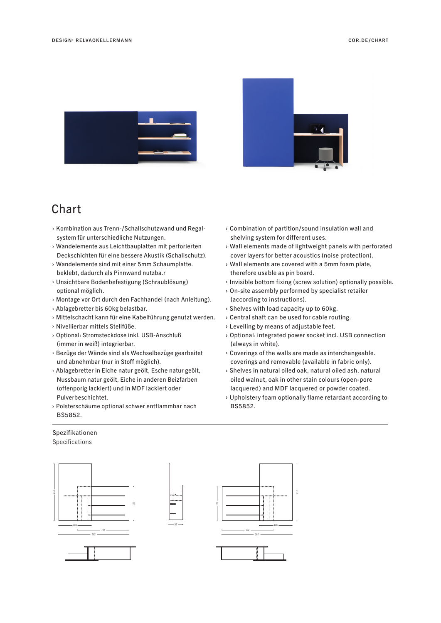



## **Chart**

- › Kombination aus Trenn-/Schallschutzwand und Regal system für unterschiedliche Nutzungen.
- › Wandelemente aus Leichtbauplatten mit perforierten Deckschichten für eine bessere Akustik (Schallschutz).
- › Wandelemente sind mit einer 5mm Schaumplatte. beklebt, dadurch als Pinnwand nutzba.r
- › Unsichtbare Bodenbefestigung (Schraublösung) optional möglich.
- › Montage vor Ort durch den Fachhandel (nach Anleitung).
- › Ablagebretter bis 60kg belastbar.
- › Mittelschacht kann für eine Kabelführung genutzt werden.
- › Nivellierbar mittels Stellfüße.
- › Optional: Stromsteckdose inkl. USB-Anschluß (immer in weiß) integrierbar.
- › Bezüge der Wände sind als Wechselbezüge gearbeitet und abnehmbar (nur in Stoff möglich).
- › Ablagebretter in Eiche natur geölt, Esche natur geölt, Nussbaum natur geölt, Eiche in anderen Beizfarben (offenporig lackiert) und in MDF lackiert oder Pulverbeschichtet.
- › Polsterschäume optional schwer entflammbar nach BS5852.

52

## Spezifikationen Specifications





- › Combination of partition/sound insulation wall and shelving system for different uses.
- › Wall elements made of lightweight panels with perforated cover layers for better acoustics (noise protection).
- › Wall elements are covered with a 5mm foam plate, therefore usable as pin board.
- › Invisible bottom fixing (screw solution) optionally possible.
- › On-site assembly performed by specialist retailer (according to instructions).
- › Shelves with load capacity up to 60kg.
- › Central shaft can be used for cable routing.
- › Levelling by means of adjustable feet.
- › Optional: integrated power socket incl. USB connection (always in white).
- › Coverings of the walls are made as interchangeable. coverings and removable (available in fabric only).
- › Shelves in natural oiled oak, natural oiled ash, natural oiled walnut, oak in other stain colours (open-pore lacquered) and MDF lacquered or powder coated.
- › Upholstery foam optionally flame retardant according to BS5852.